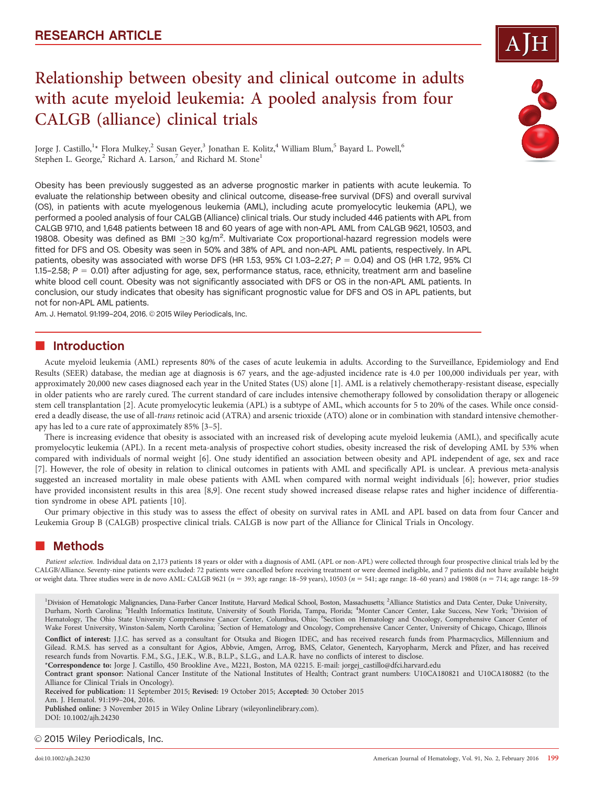

Jorge J. Castillo,<sup>1</sup>\* Flora Mulkey,<sup>2</sup> Susan Geyer,<sup>3</sup> Jonathan E. Kolitz,<sup>4</sup> William Blum,<sup>5</sup> Bayard L. Powell,<sup>6</sup> Stephen L. George, $^2$  Richard A. Larson, $^7$  and Richard M. Stone<sup>1</sup>

Obesity has been previously suggested as an adverse prognostic marker in patients with acute leukemia. To evaluate the relationship between obesity and clinical outcome, disease-free survival (DFS) and overall survival (OS), in patients with acute myelogenous leukemia (AML), including acute promyelocytic leukemia (APL), we performed a pooled analysis of four CALGB (Alliance) clinical trials. Our study included 446 patients with APL from CALGB 9710, and 1,648 patients between 18 and 60 years of age with non-APL AML from CALGB 9621, 10503, and 19808. Obesity was defined as BMI  $\geq$ 30 kg/m<sup>2</sup>. Multivariate Cox proportional-hazard regression models were fitted for DFS and OS. Obesity was seen in 50% and 38% of APL and non-APL AML patients, respectively. In APL patients, obesity was associated with worse DFS (HR 1.53, 95% CI 1.03-2.27;  $P = 0.04$ ) and OS (HR 1.72, 95% CI 1.15–2.58;  $P = 0.01$ ) after adjusting for age, sex, performance status, race, ethnicity, treatment arm and baseline white blood cell count. Obesity was not significantly associated with DFS or OS in the non-APL AML patients. In conclusion, our study indicates that obesity has significant prognostic value for DFS and OS in APL patients, but not for non-APL AML patients.

Am. J. Hematol. 91:199-204, 2016. 2015 Wiley Periodicals, Inc.

# **n** Introduction

Acute myeloid leukemia (AML) represents 80% of the cases of acute leukemia in adults. According to the Surveillance, Epidemiology and End Results (SEER) database, the median age at diagnosis is 67 years, and the age-adjusted incidence rate is 4.0 per 100,000 individuals per year, with approximately 20,000 new cases diagnosed each year in the United States (US) alone [1]. AML is a relatively chemotherapy-resistant disease, especially in older patients who are rarely cured. The current standard of care includes intensive chemotherapy followed by consolidation therapy or allogeneic stem cell transplantation [2]. Acute promyelocytic leukemia (APL) is a subtype of AML, which accounts for 5 to 20% of the cases. While once considered a deadly disease, the use of all-trans retinoic acid (ATRA) and arsenic trioxide (ATO) alone or in combination with standard intensive chemotherapy has led to a cure rate of approximately 85% [3–5].

There is increasing evidence that obesity is associated with an increased risk of developing acute myeloid leukemia (AML), and specifically acute promyelocytic leukemia (APL). In a recent meta-analysis of prospective cohort studies, obesity increased the risk of developing AML by 53% when compared with individuals of normal weight [6]. One study identified an association between obesity and APL independent of age, sex and race [7]. However, the role of obesity in relation to clinical outcomes in patients with AML and specifically APL is unclear. A previous meta-analysis suggested an increased mortality in male obese patients with AML when compared with normal weight individuals [6]; however, prior studies have provided inconsistent results in this area [8,9]. One recent study showed increased disease relapse rates and higher incidence of differentiation syndrome in obese APL patients [10].

Our primary objective in this study was to assess the effect of obesity on survival rates in AML and APL based on data from four Cancer and Leukemia Group B (CALGB) prospective clinical trials. CALGB is now part of the Alliance for Clinical Trials in Oncology.

## **Nethods**

Patient selection. Individual data on 2,173 patients 18 years or older with a diagnosis of AML (APL or non-APL) were collected through four prospective clinical trials led by the CALGB/Alliance. Seventy-nine patients were excluded: 72 patients were cancelled before receiving treatment or were deemed ineligible, and 7 patients did not have available height or weight data. Three studies were in de novo AML: CALGB 9621 ( $n = 393$ ; age range: 18–59 years), 10503 ( $n = 541$ ; age range: 18–60 years) and 19808 ( $n = 714$ ; age range: 18–59

<sup>1</sup>Division of Hematologic Malignancies, Dana-Farber Cancer Institute, Harvard Medical School, Boston, Massachusetts; <sup>2</sup>Alliance Statistics and Data Center, Duke University, Durham, North Carolina; <sup>3</sup>Health Informatics Institute, University of South Florida, Tampa, Florida; <sup>4</sup>Monter Cancer Center, Lake Success, New York; <sup>5</sup>Division of<br>Hematology, The Ohio State University Comprehensive Canc Wake Forest University, Winston-Salem, North Carolina; <sup>7</sup>Section of Hematology and Oncology, Comprehensive Cancer Center, University of Chicago, Chicago, Illinois

Conflict of interest: J.J.C. has served as a consultant for Otsuka and Biogen IDEC, and has received research funds from Pharmacyclics, Millennium and Gilead. R.M.S. has served as a consultant for Agios, Abbvie, Amgen, Arrog, BMS, Celator, Genentech, Karyopharm, Merck and Pfizer, and has received research funds from Novartis. F.M., S.G., J.E.K., W.B., B.L.P., S.L.G., and L.A.R. have no conflicts of interest to disclose.

\*Correspondence to: Jorge J. Castillo, 450 Brookline Ave., M221, Boston, MA 02215. E-mail: jorgej\_castillo@dfci.harvard.edu

Contract grant sponsor: National Cancer Institute of the National Institutes of Health; Contract grant numbers: U10CA180821 and U10CA180882 (to the Alliance for Clinical Trials in Oncology).

Received for publication: 11 September 2015; Revised: 19 October 2015; Accepted: 30 October 2015

Am. J. Hematol. 91:199–204, 2016.

Published online: 3 November 2015 in Wiley Online Library (wileyonlinelibrary.com).

DOI: 10.1002/ajh.24230

#### © 2015 Wiley Periodicals, Inc.

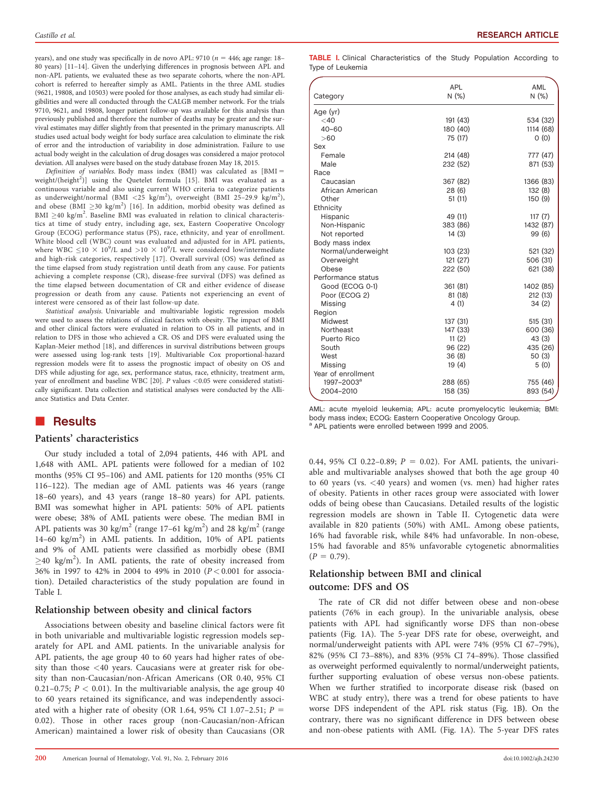years), and one study was specifically in de novo APL: 9710 ( $n = 446$ ; age range: 18– 80 years) [11–14]. Given the underlying differences in prognosis between APL and non-APL patients, we evaluated these as two separate cohorts, where the non-APL cohort is referred to hereafter simply as AML. Patients in the three AML studies (9621, 19808, and 10503) were pooled for those analyses, as each study had similar eligibilities and were all conducted through the CALGB member network. For the trials 9710, 9621, and 19808, longer patient follow-up was available for this analysis than previously published and therefore the number of deaths may be greater and the survival estimates may differ slightly from that presented in the primary manuscripts. All studies used actual body weight for body surface area calculation to eliminate the risk of error and the introduction of variability in dose administration. Failure to use actual body weight in the calculation of drug dosages was considered a major protocol deviation. All analyses were based on the study database frozen May 18, 2015.

Definition of variables. Body mass index (BMI) was calculated as  $[BMI =$ weight/(height<sup>2</sup>)] using the Quetelet formula [15]. BMI was evaluated as a continuous variable and also using current WHO criteria to categorize patients as underweight/normal (BMI <25 kg/m<sup>2</sup>), overweight (BMI 25-29.9 kg/m<sup>2</sup>), and obese (BMI  $\geq$  30 kg/m<sup>2</sup>) [16]. In addition, morbid obesity was defined as BMI  $\geq$ 40 kg/m<sup>2</sup>. Baseline BMI was evaluated in relation to clinical characteristics at time of study entry, including age, sex, Eastern Cooperative Oncology Group (ECOG) performance status (PS), race, ethnicity, and year of enrollment. White blood cell (WBC) count was evaluated and adjusted for in APL patients, where WBC  $\leq$ 10  $\times$  10<sup>9</sup>/L and  $>$ 10  $\times$  10<sup>9</sup>/L were considered low/intermediate and high-risk categories, respectively [17]. Overall survival (OS) was defined as the time elapsed from study registration until death from any cause. For patients achieving a complete response (CR), disease-free survival (DFS) was defined as the time elapsed between documentation of CR and either evidence of disease progression or death from any cause. Patients not experiencing an event of interest were censored as of their last follow-up date.

Statistical analysis. Univariable and multivariable logistic regression models were used to assess the relations of clinical factors with obesity. The impact of BMI and other clinical factors were evaluated in relation to OS in all patients, and in relation to DFS in those who achieved a CR. OS and DFS were evaluated using the Kaplan-Meier method [18], and differences in survival distributions between groups were assessed using log-rank tests [19]. Multivariable Cox proportional-hazard regression models were fit to assess the prognostic impact of obesity on OS and DFS while adjusting for age, sex, performance status, race, ethnicity, treatment arm, year of enrollment and baseline WBC [20]. P values <0.05 were considered statistically significant. Data collection and statistical analyses were conducted by the Alliance Statistics and Data Center.

## **Results**

#### Patients' characteristics

Our study included a total of 2,094 patients, 446 with APL and 1,648 with AML. APL patients were followed for a median of 102 months (95% CI 95–106) and AML patients for 120 months (95% CI 116–122). The median age of AML patients was 46 years (range 18–60 years), and 43 years (range 18–80 years) for APL patients. BMI was somewhat higher in APL patients: 50% of APL patients were obese; 38% of AML patients were obese. The median BMI in APL patients was 30 kg/m<sup>2</sup> (range 17-61 kg/m<sup>2</sup>) and 28 kg/m<sup>2</sup> (range 14-60 kg/m<sup>2</sup>) in AML patients. In addition, 10% of APL patients and 9% of AML patients were classified as morbidly obese (BMI  $\geq$ 40 kg/m<sup>2</sup>). In AML patients, the rate of obesity increased from 36% in 1997 to 42% in 2004 to 49% in 2010 (P < 0.001 for association). Detailed characteristics of the study population are found in Table I.

#### Relationship between obesity and clinical factors

Associations between obesity and baseline clinical factors were fit in both univariable and multivariable logistic regression models separately for APL and AML patients. In the univariable analysis for APL patients, the age group 40 to 60 years had higher rates of obesity than those <40 years. Caucasians were at greater risk for obesity than non-Caucasian/non-African Americans (OR 0.40, 95% CI 0.21–0.75;  $P < 0.01$ ). In the multivariable analysis, the age group 40 to 60 years retained its significance, and was independently associated with a higher rate of obesity (OR 1.64, 95% CI 1.07-2.51;  $P =$ 0.02). Those in other races group (non-Caucasian/non-African American) maintained a lower risk of obesity than Caucasians (OR TABLE I. Clinical Characteristics of the Study Population According to Type of Leukemia

|                        | <b>APL</b> | AML       |
|------------------------|------------|-----------|
| Category               | N(% )      | N(% )     |
| Age (yr)               |            |           |
| $<$ 40                 | 191 (43)   | 534 (32)  |
| $40 - 60$              | 180 (40)   | 1114 (68) |
| > 60                   | 75 (17)    | O(0)      |
| Sex                    |            |           |
| Female                 | 214 (48)   | 777 (47)  |
| Male                   | 232 (52)   | 871 (53)  |
| Race                   |            |           |
| Caucasian              | 367 (82)   | 1366 (83) |
| African American       | 28 (6)     | 132(8)    |
| Other                  | 51(11)     | 150(9)    |
| Ethnicity              |            |           |
| Hispanic               | 49 (11)    | 117(7)    |
| Non-Hispanic           | 383 (86)   | 1432 (87) |
| Not reported           | 14(3)      | 99 (6)    |
| Body mass index        |            |           |
| Normal/underweight     | 103 (23)   | 521 (32)  |
| Overweight             | 121 (27)   | 506 (31)  |
| Obese                  | 222 (50)   | 621 (38)  |
| Performance status     |            |           |
| Good (ECOG 0-1)        | 361 (81)   | 1402 (85) |
| Poor (ECOG 2)          | 81 (18)    | 212 (13)  |
| Missing                | 4(1)       | 34(2)     |
| Region                 |            |           |
| Midwest                | 137 (31)   | 515(31)   |
| Northeast              | 147 (33)   | 600 (36)  |
| Puerto Rico            | 11(2)      | 43 (3)    |
| South                  | 96 (22)    | 435 (26)  |
| West                   | 36(8)      | 50 (3)    |
| Missing                | 19(4)      | 5(0)      |
| Year of enrollment     |            |           |
| 1997-2003 <sup>a</sup> | 288 (65)   | 755 (46)  |
| 2004-2010              | 158 (35)   | 893 (54)  |

AML: acute myeloid leukemia; APL: acute promyelocytic leukemia; BMI: body mass index; ECOG: Eastern Cooperative Oncology Group. <sup>a</sup> APL patients were enrolled between 1999 and 2005.

0.44, 95% CI 0.22-0.89;  $P = 0.02$ ). For AML patients, the univariable and multivariable analyses showed that both the age group 40 to 60 years (vs. <40 years) and women (vs. men) had higher rates of obesity. Patients in other races group were associated with lower odds of being obese than Caucasians. Detailed results of the logistic regression models are shown in Table II. Cytogenetic data were available in 820 patients (50%) with AML. Among obese patients, 16% had favorable risk, while 84% had unfavorable. In non-obese, 15% had favorable and 85% unfavorable cytogenetic abnormalities  $(P = 0.79)$ .

### Relationship between BMI and clinical outcome: DFS and OS

The rate of CR did not differ between obese and non-obese patients (76% in each group). In the univariable analysis, obese patients with APL had significantly worse DFS than non-obese patients (Fig. 1A). The 5-year DFS rate for obese, overweight, and normal/underweight patients with APL were 74% (95% CI 67–79%), 82% (95% CI 73–88%), and 83% (95% CI 74–89%). Those classified as overweight performed equivalently to normal/underweight patients, further supporting evaluation of obese versus non-obese patients. When we further stratified to incorporate disease risk (based on WBC at study entry), there was a trend for obese patients to have worse DFS independent of the APL risk status (Fig. 1B). On the contrary, there was no significant difference in DFS between obese and non-obese patients with AML (Fig. 1A). The 5-year DFS rates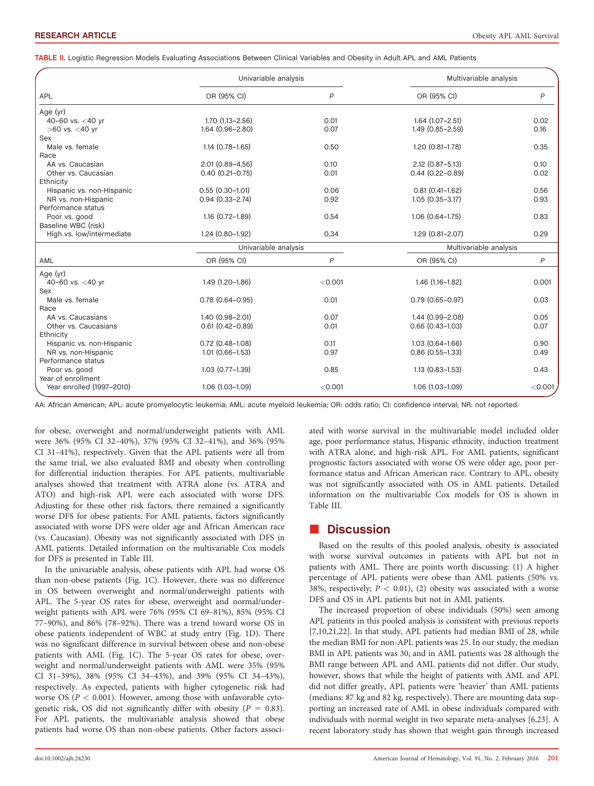TABLE II. Logistic Regression Models Evaluating Associations Between Clinical Variables and Obesity in Adult APL and AML Patients

|                           | Univariable analysis   |                      | Multivariable analysis |                        |
|---------------------------|------------------------|----------------------|------------------------|------------------------|
| <b>APL</b>                | OR (95% CI)            | P                    | OR (95% CI)            | P                      |
| Age $(yr)$                |                        |                      |                        |                        |
| 40-60 vs. <40 yr          | $1.70(1.13 - 2.56)$    | 0.01                 | $1.64$ $(1.07 - 2.51)$ | 0.02                   |
| $>60$ vs. $< 40$ yr       | $1.64(0.96 - 2.80)$    | 0.07                 | $1.49(0.85 - 2.59)$    | 0.16                   |
| Sex                       |                        |                      |                        |                        |
| Male vs. female           | $1.14(0.78 - 1.65)$    | 0.50                 | $1.20(0.81 - 1.78)$    | 0.35                   |
| Race                      |                        |                      |                        |                        |
| AA vs. Caucasian          | 2.01 (0.89-4.56)       | 0.10                 | $2.12$ (0.87-5.13)     | 0.10                   |
| Other vs. Caucasian       | $0.40(0.21 - 0.75)$    | 0.01                 | $0.44(0.22 - 0.89)$    | 0.02                   |
| Ethnicity                 |                        |                      |                        |                        |
| Hispanic vs. non-Hispanic | $0.55(0.30-1.01)$      | 0.06                 | $0.81(0.41 - 1.62)$    | 0.56                   |
| NR vs. non-Hispanic       | $0.94(0.33 - 2.74)$    | 0.92                 | $1.05(0.35 - 3.17)$    | 0.93                   |
| Performance status        |                        |                      |                        |                        |
| Poor vs. good             | $1.16(0.72 - 1.89)$    | 0.54                 | $1.06(0.64 - 1.75)$    | 0.83                   |
| Baseline WBC (risk)       |                        |                      |                        |                        |
| High vs. low/intermediate | 1.24 (0.80-1.92)       | 0.34                 | 1.29 (0.81-2.07)       | 0.29                   |
|                           |                        | Univariable analysis |                        | Multivariable analysis |
| AML                       | OR (95% CI)            | $\mathsf{P}$         | OR (95% CI)            | $\mathsf{P}$           |
| Age (yr)                  |                        |                      |                        |                        |
| 40-60 vs. <40 yr          | $1.49(1.20-1.86)$      | < 0.001              | $1.46(1.16-1.82)$      | 0.001                  |
| Sex                       |                        |                      |                        |                        |
| Male vs. female           | $0.78$ $(0.64 - 0.95)$ | 0.01                 | $0.79(0.65 - 0.97)$    | 0.03                   |
| Race                      |                        |                      |                        |                        |
| AA vs. Caucasians         | 1.40 (0.98-2.01)       | 0.07                 | $1.44(0.99 - 2.08)$    | 0.05                   |
| Other vs. Caucasians      | $0.61(0.42 - 0.89)$    | 0.01                 | $0.66$ $(0.43 - 1.03)$ | 0.07                   |
| Ethnicity                 |                        |                      |                        |                        |
| Hispanic vs. non-Hispanic | $0.72$ (0.48-1.08)     | 0.11                 | $1.03(0.64 - 1.66)$    | 0.90                   |
| NR vs. non-Hispanic       | $1.01(0.66 - 1.53)$    | 0.97                 | $0.86$ (0.55-1.33)     | 0.49                   |
| Performance status        |                        |                      |                        |                        |
| Poor vs. good             | $1.03(0.77 - 1.39)$    | 0.85                 | $1.13(0.83 - 1.53)$    | 0.43                   |
| Year of enrollment        |                        |                      |                        |                        |
| Year enrolled (1997-2010) | 1.06 (1.03-1.09)       | < 0.001              | $1.06(1.03 - 1.09)$    | $<$ 0.001              |

AA: African American; APL: acute promyelocytic leukemia; AML: acute myeloid leukemia; OR: odds ratio; CI: confidence interval; NR: not reported.

for obese, overweight and normal/underweight patients with AML were 36% (95% CI 32–40%), 37% (95% CI 32–41%), and 36% (95% CI 31–41%), respectively. Given that the APL patients were all from the same trial, we also evaluated BMI and obesity when controlling for differential induction therapies. For APL patients, multivariable analyses showed that treatment with ATRA alone (vs. ATRA and ATO) and high-risk APL were each associated with worse DFS. Adjusting for these other risk factors, there remained a significantly worse DFS for obese patients. For AML patients, factors significantly associated with worse DFS were older age and African American race (vs. Caucasian). Obesity was not significantly associated with DFS in AML patients. Detailed information on the multivariable Cox models for DFS is presented in Table III.

In the univariable analysis, obese patients with APL had worse OS than non-obese patients (Fig. 1C). However, there was no difference in OS between overweight and normal/underweight patients with APL. The 5-year OS rates for obese, overweight and normal/underweight patients with APL were 76% (95% CI 69–81%), 85% (95% CI 77–90%), and 86% (78–92%). There was a trend toward worse OS in obese patients independent of WBC at study entry (Fig. 1D). There was no significant difference in survival between obese and non-obese patients with AML (Fig. 1C). The 5-year OS rates for obese, overweight and normal/underweight patients with AML were 35% (95% CI 31–39%), 38% (95% CI 34–43%), and 39% (95% CI 34–43%), respectively. As expected, patients with higher cytogenetic risk had worse OS ( $P < 0.001$ ). However, among those with unfavorable cytogenetic risk, OS did not significantly differ with obesity ( $P = 0.83$ ). For APL patients, the multivariable analysis showed that obese patients had worse OS than non-obese patients. Other factors associated with worse survival in the multivariable model included older age, poor performance status, Hispanic ethnicity, induction treatment with ATRA alone, and high-risk APL. For AML patients, significant prognostic factors associated with worse OS were older age, poor performance status and African American race. Contrary to APL, obesity was not significantly associated with OS in AML patients. Detailed information on the multivariable Cox models for OS is shown in Table III.

## **Discussion**

Based on the results of this pooled analysis, obesity is associated with worse survival outcomes in patients with APL but not in patients with AML. There are points worth discussing: (1) A higher percentage of APL patients were obese than AML patients (50% vs. 38%, respectively;  $P < 0.01$ ), (2) obesity was associated with a worse DFS and OS in APL patients but not in AML patients.

The increased proportion of obese individuals (50%) seen among APL patients in this pooled analysis is consistent with previous reports [7,10,21,22]. In that study, APL patients had median BMI of 28, while the median BMI for non-APL patients was 25. In our study, the median BMI in APL patients was 30, and in AML patients was 28 although the BMI range between APL and AML patients did not differ. Our study, however, shows that while the height of patients with AML and APL did not differ greatly, APL patients were 'heavier' than AML patients (medians: 87 kg and 82 kg, respectively). There are mounting data supporting an increased rate of AML in obese individuals compared with individuals with normal weight in two separate meta-analyses [6,23]. A recent laboratory study has shown that weight gain through increased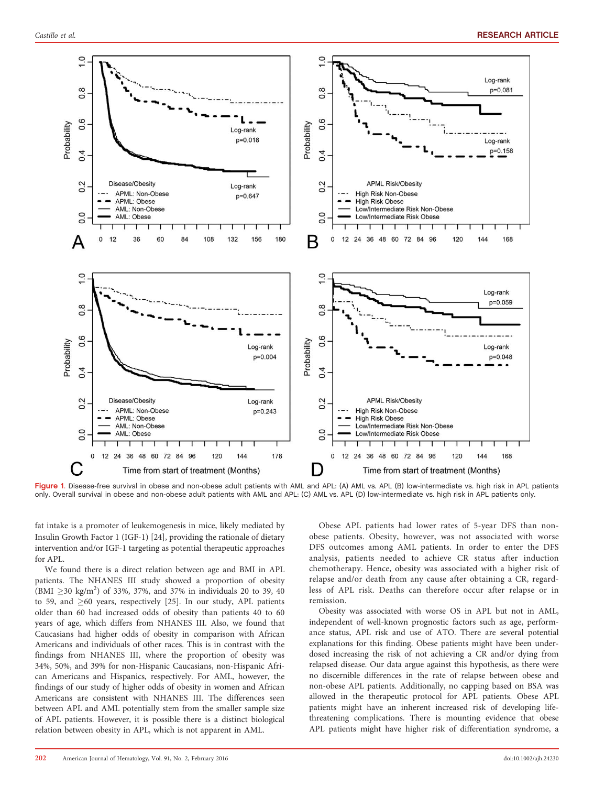

Figure 1. Disease-free survival in obese and non-obese adult patients with AML and APL: (A) AML vs. APL (B) low-intermediate vs. high risk in APL patients only. Overall survival in obese and non-obese adult patients with AML and APL: (C) AML vs. APL (D) low-intermediate vs. high risk in APL patients only.

fat intake is a promoter of leukemogenesis in mice, likely mediated by Insulin Growth Factor 1 (IGF-1) [24], providing the rationale of dietary intervention and/or IGF-1 targeting as potential therapeutic approaches for APL.

We found there is a direct relation between age and BMI in APL patients. The NHANES III study showed a proportion of obesity  $(BMI \ge 30 \text{ kg/m}^2)$  of 33%, 37%, and 37% in individuals 20 to 39, 40 to 59, and  $\geq$ 60 years, respectively [25]. In our study, APL patients older than 60 had increased odds of obesity than patients 40 to 60 years of age, which differs from NHANES III. Also, we found that Caucasians had higher odds of obesity in comparison with African Americans and individuals of other races. This is in contrast with the findings from NHANES III, where the proportion of obesity was 34%, 50%, and 39% for non-Hispanic Caucasians, non-Hispanic African Americans and Hispanics, respectively. For AML, however, the findings of our study of higher odds of obesity in women and African Americans are consistent with NHANES III. The differences seen between APL and AML potentially stem from the smaller sample size of APL patients. However, it is possible there is a distinct biological relation between obesity in APL, which is not apparent in AML.

Obese APL patients had lower rates of 5-year DFS than nonobese patients. Obesity, however, was not associated with worse DFS outcomes among AML patients. In order to enter the DFS analysis, patients needed to achieve CR status after induction chemotherapy. Hence, obesity was associated with a higher risk of relapse and/or death from any cause after obtaining a CR, regardless of APL risk. Deaths can therefore occur after relapse or in remission.

Obesity was associated with worse OS in APL but not in AML, independent of well-known prognostic factors such as age, performance status, APL risk and use of ATO. There are several potential explanations for this finding. Obese patients might have been underdosed increasing the risk of not achieving a CR and/or dying from relapsed disease. Our data argue against this hypothesis, as there were no discernible differences in the rate of relapse between obese and non-obese APL patients. Additionally, no capping based on BSA was allowed in the therapeutic protocol for APL patients. Obese APL patients might have an inherent increased risk of developing lifethreatening complications. There is mounting evidence that obese APL patients might have higher risk of differentiation syndrome, a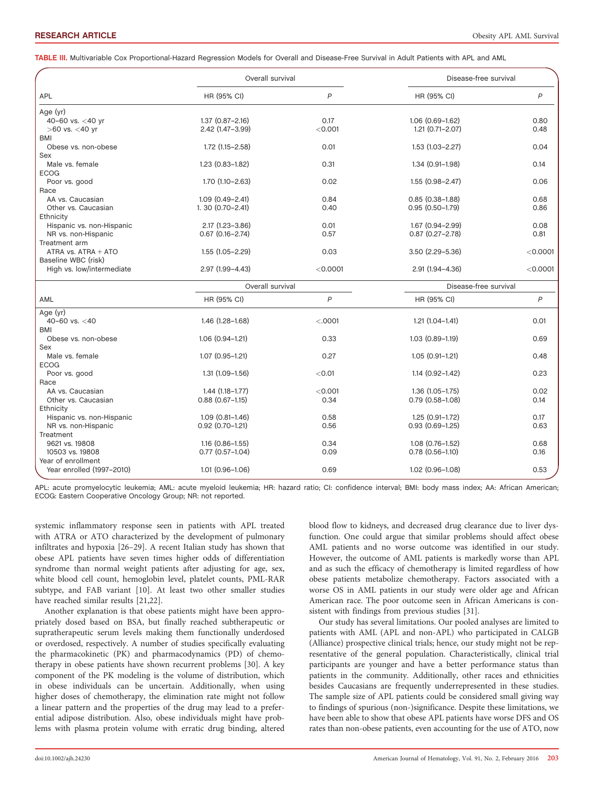TABLE III. Multivariable Cox Proportional-Hazard Regression Models for Overall and Disease-Free Survival in Adult Patients with APL and AML

|                           | Overall survival       |          | Disease-free survival  |              |
|---------------------------|------------------------|----------|------------------------|--------------|
| APL                       | HR (95% CI)            | P        | HR (95% CI)            | P            |
| Age (yr)                  |                        |          |                        |              |
| 40-60 vs. <40 yr          | $1.37(0.87 - 2.16)$    | 0.17     | $1.06(0.69 - 1.62)$    | 0.80         |
| $>60$ vs. $< 40$ yr       | 2.42 (1.47-3.99)       | < 0.001  | $1.21(0.71 - 2.07)$    | 0.48         |
| <b>BMI</b>                |                        |          |                        |              |
| Obese vs. non-obese       | $1.72$ $(1.15 - 2.58)$ | 0.01     | $1.53(1.03 - 2.27)$    | 0.04         |
| Sex                       |                        |          |                        |              |
| Male vs. female           | $1.23(0.83 - 1.82)$    | 0.31     | $1.34(0.91 - 1.98)$    | 0.14         |
| <b>ECOG</b>               |                        |          |                        |              |
| Poor vs. good             | $1.70(1.10 - 2.63)$    | 0.02     | $1.55(0.98 - 2.47)$    | 0.06         |
| Race                      |                        |          |                        |              |
| AA vs. Caucasian          | $1.09(0.49 - 2.41)$    | 0.84     | $0.85(0.38 - 1.88)$    | 0.68         |
| Other vs. Caucasian       | $1.30(0.70 - 2.41)$    | 0.40     | $0.95(0.50-1.79)$      | 0.86         |
| Ethnicity                 |                        |          |                        |              |
| Hispanic vs. non-Hispanic | $2.17(1.23 - 3.86)$    | 0.01     | 1.67 (0.94-2.99)       | 0.08         |
| NR vs. non-Hispanic       | $0.67$ (0.16-2.74)     | 0.57     | $0.87$ $(0.27 - 2.78)$ | 0.81         |
| Treatment arm             |                        |          |                        |              |
| ATRA vs. ATRA + ATO       | $1.55(1.05 - 2.29)$    | 0.03     | $3.50(2.29 - 5.36)$    | < 0.0001     |
| Baseline WBC (risk)       |                        |          |                        |              |
| High vs. low/intermediate | 2.97 (1.99-4.43)       | < 0.0001 | 2.91 (1.94-4.36)       | < 0.0001     |
|                           | Overall survival       |          | Disease-free survival  |              |
| AML                       | HR (95% CI)            | P        | HR (95% CI)            | $\mathsf{P}$ |
| Age $(yr)$                |                        |          |                        |              |
| 40-60 vs. $<$ 40          | $1.46(1.28-1.68)$      | < .0001  | $1.21(1.04 - 1.41)$    | 0.01         |
| <b>BMI</b>                |                        |          |                        |              |
| Obese vs. non-obese       | $1.06(0.94 - 1.21)$    | 0.33     | 1.03 (0.89-1.19)       | 0.69         |
| Sex                       |                        |          |                        |              |
| Male vs. female           | $1.07(0.95 - 1.21)$    | 0.27     | $1.05(0.91 - 1.21)$    | 0.48         |
| <b>ECOG</b>               |                        |          |                        |              |
| Poor vs. good             | $1.31(1.09 - 1.56)$    | < 0.01   | $1.14(0.92 - 1.42)$    | 0.23         |
| Race                      |                        |          |                        |              |
| AA vs. Caucasian          | $1.44(1.18-1.77)$      | < 0.001  | $1.36(1.05-1.75)$      | 0.02         |
| Other vs. Caucasian       | $0.88$ $(0.67-1.15)$   | 0.34     | $0.79(0.58 - 1.08)$    | 0.14         |
| Ethnicity                 |                        |          |                        |              |
| Hispanic vs. non-Hispanic | $1.09(0.81 - 1.46)$    | 0.58     | $1.25(0.91-1.72)$      | 0.17         |
| NR vs. non-Hispanic       | $0.92$ (0.70-1.21)     | 0.56     | $0.93(0.69 - 1.25)$    | 0.63         |
| Treatment                 |                        |          |                        |              |
| 9621 vs. 19808            | $1.16(0.86 - 1.55)$    | 0.34     | $1.08(0.76 - 1.52)$    | 0.68         |
| 10503 vs. 19808           | $0.77$ (0.57-1.04)     | 0.09     | $0.78$ $(0.56 - 1.10)$ | 0.16         |
| Year of enrollment        |                        |          |                        |              |
| Year enrolled (1997-2010) | $1.01(0.96 - 1.06)$    | 0.69     | 1.02 (0.96-1.08)       | 0.53         |

APL: acute promyelocytic leukemia; AML: acute myeloid leukemia; HR: hazard ratio; CI: confidence interval; BMI: body mass index; AA: African American; ECOG: Eastern Cooperative Oncology Group; NR: not reported.

systemic inflammatory response seen in patients with APL treated with ATRA or ATO characterized by the development of pulmonary infiltrates and hypoxia [26–29]. A recent Italian study has shown that obese APL patients have seven times higher odds of differentiation syndrome than normal weight patients after adjusting for age, sex, white blood cell count, hemoglobin level, platelet counts, PML-RAR subtype, and FAB variant [10]. At least two other smaller studies have reached similar results [21,22].

Another explanation is that obese patients might have been appropriately dosed based on BSA, but finally reached subtherapeutic or supratherapeutic serum levels making them functionally underdosed or overdosed, respectively. A number of studies specifically evaluating the pharmacokinetic (PK) and pharmacodynamics (PD) of chemotherapy in obese patients have shown recurrent problems [30]. A key component of the PK modeling is the volume of distribution, which in obese individuals can be uncertain. Additionally, when using higher doses of chemotherapy, the elimination rate might not follow a linear pattern and the properties of the drug may lead to a preferential adipose distribution. Also, obese individuals might have problems with plasma protein volume with erratic drug binding, altered blood flow to kidneys, and decreased drug clearance due to liver dysfunction. One could argue that similar problems should affect obese AML patients and no worse outcome was identified in our study. However, the outcome of AML patients is markedly worse than APL and as such the efficacy of chemotherapy is limited regardless of how obese patients metabolize chemotherapy. Factors associated with a worse OS in AML patients in our study were older age and African American race. The poor outcome seen in African Americans is consistent with findings from previous studies [31].

Our study has several limitations. Our pooled analyses are limited to patients with AML (APL and non-APL) who participated in CALGB (Alliance) prospective clinical trials; hence, our study might not be representative of the general population. Characteristically, clinical trial participants are younger and have a better performance status than patients in the community. Additionally, other races and ethnicities besides Caucasians are frequently underrepresented in these studies. The sample size of APL patients could be considered small giving way to findings of spurious (non-)significance. Despite these limitations, we have been able to show that obese APL patients have worse DFS and OS rates than non-obese patients, even accounting for the use of ATO, now